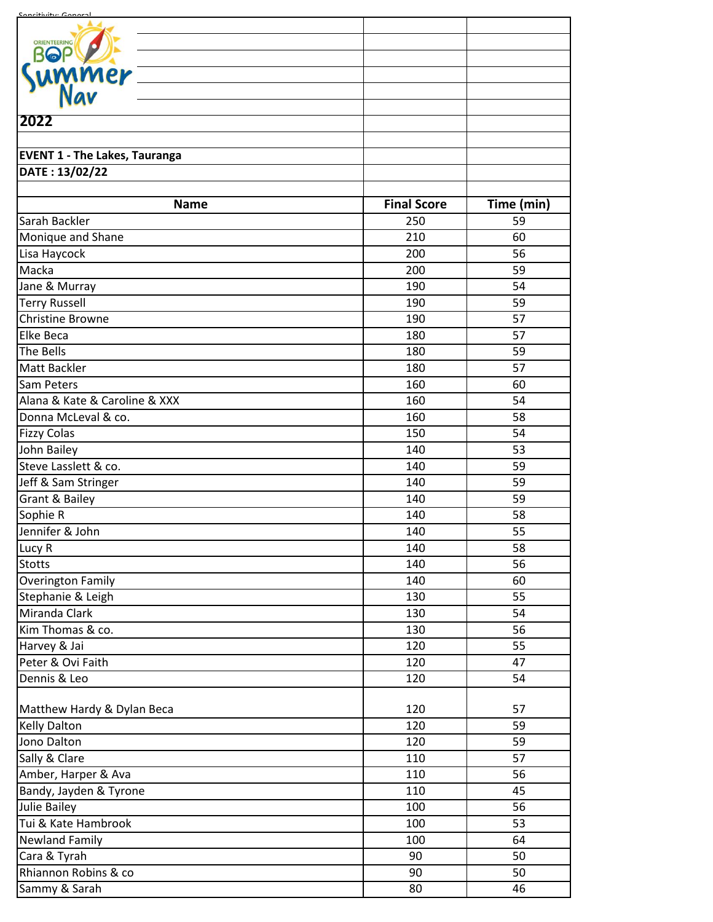| <u>Concitivity: Conor</u>            |                    |            |
|--------------------------------------|--------------------|------------|
| ORIENTEERING                         |                    |            |
| <b>BOP</b>                           |                    |            |
| ummer <u>—</u><br>Nav                |                    |            |
|                                      |                    |            |
|                                      |                    |            |
| 2022                                 |                    |            |
|                                      |                    |            |
| <b>EVENT 1 - The Lakes, Tauranga</b> |                    |            |
| DATE: 13/02/22                       |                    |            |
| <b>Name</b>                          | <b>Final Score</b> | Time (min) |
| Sarah Backler                        | 250                | 59         |
| Monique and Shane                    | 210                | 60         |
| Lisa Haycock                         | 200                | 56         |
| Macka                                | 200                | 59         |
| Jane & Murray                        | 190                | 54         |
| <b>Terry Russell</b>                 | 190                | 59         |
| <b>Christine Browne</b>              | 190                | 57         |
| <b>Elke Beca</b>                     | 180                | 57         |
| The Bells                            | 180                | 59         |
| <b>Matt Backler</b>                  | 180                | 57         |
| Sam Peters                           | 160                | 60         |
| Alana & Kate & Caroline & XXX        | 160                | 54         |
| Donna McLeval & co.                  | 160                | 58         |
| <b>Fizzy Colas</b>                   | 150                | 54         |
| John Bailey                          | 140                | 53         |
| Steve Lasslett & co.                 | 140                | 59         |
| Jeff & Sam Stringer                  | 140                | 59         |
| <b>Grant &amp; Bailey</b>            | 140                | 59         |
| Sophie R                             | 140                | 58         |
| Jennifer & John                      | 140                | 55         |
| Lucy R                               | 140                | 58         |
| <b>Stotts</b>                        | 140                | 56         |
| <b>Overington Family</b>             | 140                | 60         |
| Stephanie & Leigh                    | 130                | 55         |
| Miranda Clark                        | 130                | 54         |
| Kim Thomas & co.                     | 130                | 56         |
| Harvey & Jai                         | 120                | 55         |
| Peter & Ovi Faith                    | 120                | 47         |
| Dennis & Leo                         | 120                | 54         |
| Matthew Hardy & Dylan Beca           | 120                | 57         |
| <b>Kelly Dalton</b>                  | 120                | 59         |
| Jono Dalton                          | 120                | 59         |
| Sally & Clare                        | 110                | 57         |
| Amber, Harper & Ava                  | 110                | 56         |
| Bandy, Jayden & Tyrone               | 110                | 45         |
| <b>Julie Bailey</b>                  | 100                | 56         |
| Tui & Kate Hambrook                  | 100                | 53         |
| <b>Newland Family</b>                | 100                | 64         |
| Cara & Tyrah                         | 90                 | 50         |
| Rhiannon Robins & co                 | 90                 | 50         |
| Sammy & Sarah                        | 80                 | 46         |